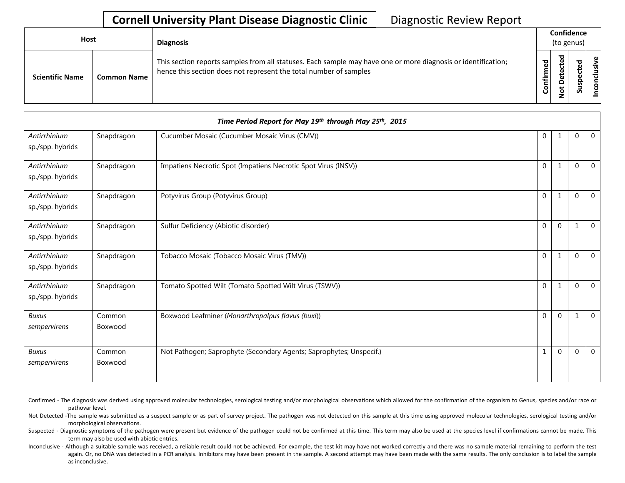## **Cornell University Plant Disease Diagnostic Clinic** | Diagnostic Review Report

| Host                                         | <b>Diagnosis</b>                                                                                                                                                                   |           | Confidence<br>(to genus)   |                  |   |
|----------------------------------------------|------------------------------------------------------------------------------------------------------------------------------------------------------------------------------------|-----------|----------------------------|------------------|---|
| <b>Scientific Name</b><br><b>Common Name</b> | This section reports samples from all statuses. Each sample may have one or more diagnosis or identification;<br>hence this section does not represent the total number of samples | Confirmed | ▿<br>ω<br>ω<br>۵<br>ى<br>۰ | ਠ<br>ں<br>ے<br>n | ៓ |

|                                  |                   | Time Period Report for May 19th through May 25th, 2015              |              |              |              |                |
|----------------------------------|-------------------|---------------------------------------------------------------------|--------------|--------------|--------------|----------------|
| Antirrhinium<br>sp./spp. hybrids | Snapdragon        | Cucumber Mosaic (Cucumber Mosaic Virus (CMV))                       | $\mathbf{0}$ | -1           | $\Omega$     | $\mathbf{0}$   |
| Antirrhinium<br>sp./spp. hybrids | Snapdragon        | Impatiens Necrotic Spot (Impatiens Necrotic Spot Virus (INSV))      | $\Omega$     | 1            | $\Omega$     | $\mathbf{0}$   |
| Antirrhinium<br>sp./spp. hybrids | Snapdragon        | Potyvirus Group (Potyvirus Group)                                   | $\Omega$     | 1            | $\Omega$     | $\mathbf{0}$   |
| Antirrhinium<br>sp./spp. hybrids | Snapdragon        | Sulfur Deficiency (Abiotic disorder)                                | $\Omega$     | $\Omega$     | $\mathbf{1}$ | $\mathbf 0$    |
| Antirrhinium<br>sp./spp. hybrids | Snapdragon        | Tobacco Mosaic (Tobacco Mosaic Virus (TMV))                         | $\Omega$     | $\mathbf{1}$ | $\mathbf 0$  | $\mathbf{0}$   |
| Antirrhinium<br>sp./spp. hybrids | Snapdragon        | Tomato Spotted Wilt (Tomato Spotted Wilt Virus (TSWV))              | $\mathbf{0}$ | $\mathbf{1}$ | $\Omega$     | $\mathbf{0}$   |
| <b>Buxus</b><br>sempervirens     | Common<br>Boxwood | Boxwood Leafminer (Monarthropalpus flavus (buxi))                   | $\Omega$     | $\Omega$     | 1            | $\overline{0}$ |
| <b>Buxus</b><br>sempervirens     | Common<br>Boxwood | Not Pathogen; Saprophyte (Secondary Agents; Saprophytes; Unspecif.) | $\mathbf{1}$ | $\Omega$     | $\Omega$     | $\mathbf{0}$   |

Confirmed - The diagnosis was derived using approved molecular technologies, serological testing and/or morphological observations which allowed for the confirmation of the organism to Genus, species and/or race or pathovar level.

Not Detected -The sample was submitted as a suspect sample or as part of survey project. The pathogen was not detected on this sample at this time using approved molecular technologies, serological testing and/or morphological observations.

Suspected - Diagnostic symptoms of the pathogen were present but evidence of the pathogen could not be confirmed at this time. This term may also be used at the species level if confirmations cannot be made. This term may also be used with abiotic entries.

Inconclusive - Although a suitable sample was received, a reliable result could not be achieved. For example, the test kit may have not worked correctly and there was no sample material remaining to perform the test again. Or, no DNA was detected in a PCR analysis. Inhibitors may have been present in the sample. A second attempt may have been made with the same results. The only conclusion is to label the sample as inconclusive.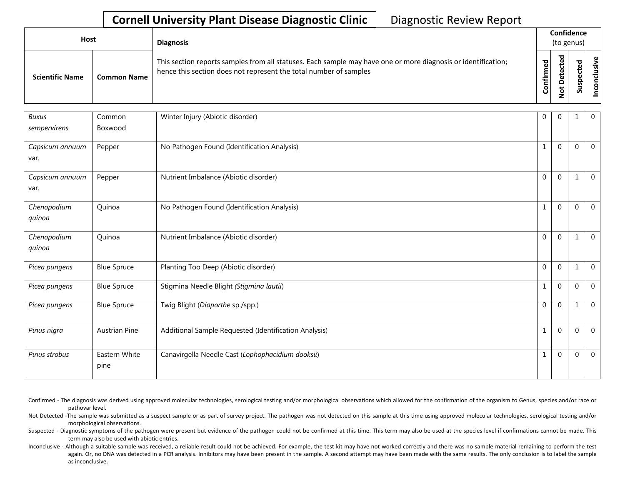## **Cornell University Plant Disease Diagnostic Clinic** | Diagnostic Review Report

| Host                   |                    | <b>Diagnosis</b>                                                                                                                                                                   |              | Confidence<br>(to genus)               |             |                      |
|------------------------|--------------------|------------------------------------------------------------------------------------------------------------------------------------------------------------------------------------|--------------|----------------------------------------|-------------|----------------------|
| <b>Scientific Name</b> | <b>Common Name</b> | This section reports samples from all statuses. Each sample may have one or more diagnosis or identification;<br>hence this section does not represent the total number of samples | ЪЪ<br>Confir | ठ<br>ω<br>ω<br>≏<br>پ<br>Ó<br><b>.</b> | ъ<br>ပ<br>S | ഄ<br>usiv<br>᠊ᠣ<br>S |

| <b>Buxus</b><br>sempervirens | Common<br>Boxwood     | Winter Injury (Abiotic disorder)                      | $\overline{0}$ | $\Omega$       | -1           | $\overline{0}$ |
|------------------------------|-----------------------|-------------------------------------------------------|----------------|----------------|--------------|----------------|
| Capsicum annuum<br>var.      | Pepper                | No Pathogen Found (Identification Analysis)           | 1              | $\Omega$       | $\Omega$     | $\mathbf{0}$   |
| Capsicum annuum<br>var.      | Pepper                | Nutrient Imbalance (Abiotic disorder)                 | 0              | $\Omega$       | 1            | $\mathbf{0}$   |
| Chenopodium<br>quinoa        | Quinoa                | No Pathogen Found (Identification Analysis)           | 1              | $\overline{0}$ | $\mathbf 0$  | $\mathbf{0}$   |
| Chenopodium<br>quinoa        | Quinoa                | Nutrient Imbalance (Abiotic disorder)                 | $\Omega$       | $\Omega$       | $\mathbf{1}$ | $\mathbf{0}$   |
| Picea pungens                | <b>Blue Spruce</b>    | Planting Too Deep (Abiotic disorder)                  | $\Omega$       | $\Omega$       | $\mathbf{1}$ | $\mathbf 0$    |
| Picea pungens                | <b>Blue Spruce</b>    | Stigmina Needle Blight (Stigmina lautii)              | $\mathbf{1}$   | $\Omega$       | $\mathbf{0}$ | $\mathbf{0}$   |
| Picea pungens                | <b>Blue Spruce</b>    | Twig Blight (Diaporthe sp./spp.)                      | $\Omega$       | $\Omega$       | $\mathbf{1}$ | $\mathbf{0}$   |
| Pinus nigra                  | Austrian Pine         | Additional Sample Requested (Identification Analysis) | $1\,$          | $\Omega$       | $\mathbf 0$  | $\mathbf{0}$   |
| Pinus strobus                | Eastern White<br>pine | Canavirgella Needle Cast (Lophophacidium dooksii)     | 1              | $\mathbf 0$    | $\mathbf{0}$ | $\mathbf{0}$   |

- Confirmed The diagnosis was derived using approved molecular technologies, serological testing and/or morphological observations which allowed for the confirmation of the organism to Genus, species and/or race or pathovar level.
- Not Detected -The sample was submitted as a suspect sample or as part of survey project. The pathogen was not detected on this sample at this time using approved molecular technologies, serological testing and/or morphological observations.
- Suspected Diagnostic symptoms of the pathogen were present but evidence of the pathogen could not be confirmed at this time. This term may also be used at the species level if confirmations cannot be made. This term may also be used with abiotic entries.
- Inconclusive Although a suitable sample was received, a reliable result could not be achieved. For example, the test kit may have not worked correctly and there was no sample material remaining to perform the test again. Or, no DNA was detected in a PCR analysis. Inhibitors may have been present in the sample. A second attempt may have been made with the same results. The only conclusion is to label the sample as inconclusive.